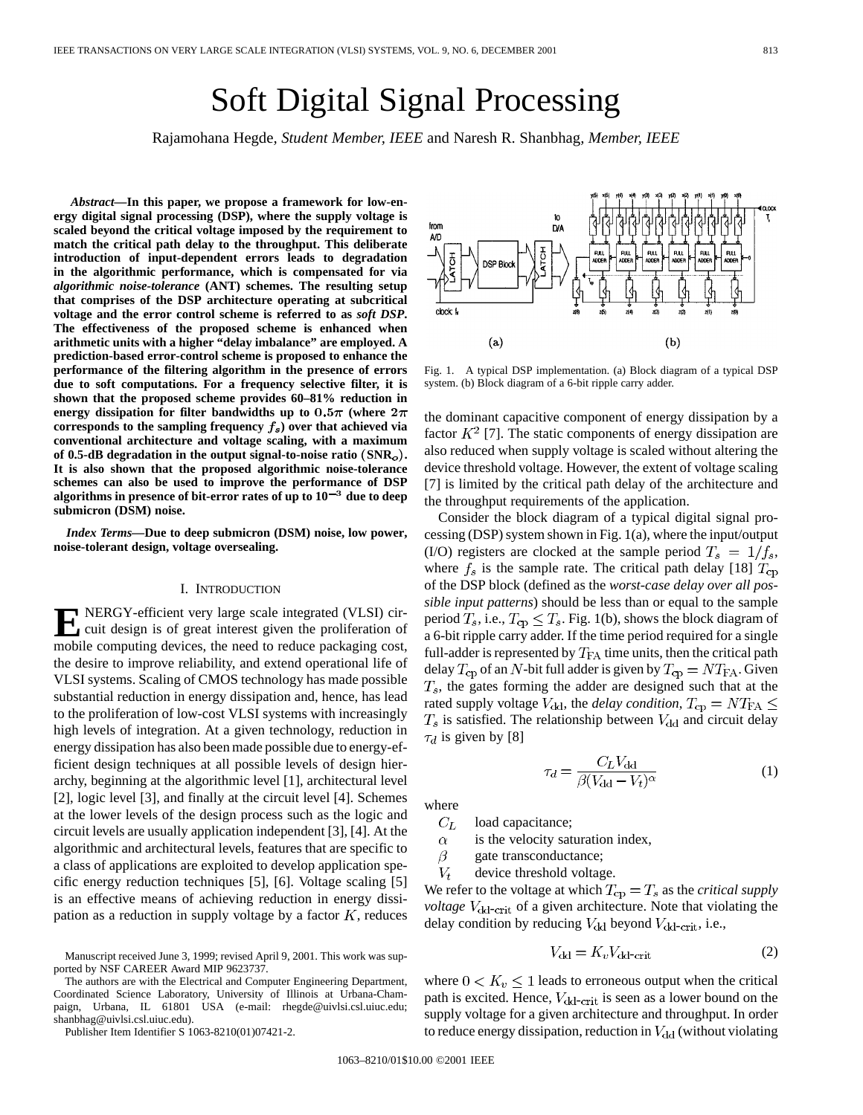# Soft Digital Signal Processing

Rajamohana Hegde*, Student Member, IEEE* and Naresh R. Shanbhag*, Member, IEEE*

*Abstract—***In this paper, we propose a framework for low-energy digital signal processing (DSP), where the supply voltage is scaled beyond the critical voltage imposed by the requirement to match the critical path delay to the throughput. This deliberate introduction of input-dependent errors leads to degradation in the algorithmic performance, which is compensated for via** *algorithmic noise-tolerance* **(ANT) schemes. The resulting setup that comprises of the DSP architecture operating at subcritical voltage and the error control scheme is referred to as** *soft DSP***. The effectiveness of the proposed scheme is enhanced when arithmetic units with a higher "delay imbalance" are employed. A prediction-based error-control scheme is proposed to enhance the performance of the filtering algorithm in the presence of errors due to soft computations. For a frequency selective filter, it is shown that the proposed scheme provides 60–81% reduction in** energy dissipation for filter bandwidths up to  $0.5\pi$  (where  $2\pi$ corresponds to the sampling frequency  $f_s$ ) over that achieved via **conventional architecture and voltage scaling, with a maximum of 0.5-dB degradation in the output signal-to-noise ratio** (**SNR** )**. It is also shown that the proposed algorithmic noise-tolerance schemes can also be used to improve the performance of DSP** algorithms in presence of bit-error rates of up to  $10^{-3}$  due to deep **submicron (DSM) noise.**

*Index Terms—***Due to deep submicron (DSM) noise, low power, noise-tolerant design, voltage oversealing.**

# I. INTRODUCTION

**E** NERGY-efficient very large scale integrated (VLSI) cir-<br>cuit design is of great interest given the proliferation of mobile computing devices, the need to reduce packaging cost, the desire to improve reliability, and extend operational life of VLSI systems. Scaling of CMOS technology has made possible substantial reduction in energy dissipation and, hence, has lead to the proliferation of low-cost VLSI systems with increasingly high levels of integration. At a given technology, reduction in energy dissipation has also been made possible due to energy-efficient design techniques at all possible levels of design hierarchy, beginning at the algorithmic level [1], architectural level [2], logic level [3], and finally at the circuit level [4]. Schemes at the lower levels of the design process such as the logic and circuit levels are usually application independent [3], [4]. At the algorithmic and architectural levels, features that are specific to a class of applications are exploited to develop application specific energy reduction techniques [5], [6]. Voltage scaling [5] is an effective means of achieving reduction in energy dissipation as a reduction in supply voltage by a factor  $K$ , reduces

The authors are with the Electrical and Computer Engineering Department, Coordinated Science Laboratory, University of Illinois at Urbana-Champaign, Urbana, IL 61801 USA (e-mail: rhegde@uivlsi.csl.uiuc.edu; shanbhag@uivlsi.csl.uiuc.edu).

Publisher Item Identifier S 1063-8210(01)07421-2.

clock: f  $(a)$  $(b)$ 

Fig. 1. A typical DSP implementation. (a) Block diagram of a typical DSP system. (b) Block diagram of a 6-bit ripple carry adder.

the dominant capacitive component of energy dissipation by a factor  $K^2$  [7]. The static components of energy dissipation are also reduced when supply voltage is scaled without altering the device threshold voltage. However, the extent of voltage scaling [7] is limited by the critical path delay of the architecture and the throughput requirements of the application.

Consider the block diagram of a typical digital signal processing (DSP) system shown in Fig. 1(a), where the input/output (I/O) registers are clocked at the sample period  $T_s = 1/f_s$ , where  $f_s$  is the sample rate. The critical path delay [18]  $T_{cp}$ of the DSP block (defined as the *worst-case delay over all possible input patterns*) should be less than or equal to the sample period  $T_s$ , i.e.,  $T_{cp} \leq T_s$ . Fig. 1(b), shows the block diagram of a 6-bit ripple carry adder. If the time period required for a single full-adder is represented by  $T_{FA}$  time units, then the critical path delay  $T_{\text{cp}}$  of an N-bit full adder is given by  $T_{\text{cp}} = NT_{\text{FA}}$ . Given  $T_s$ , the gates forming the adder are designed such that at the rated supply voltage  $V_{dd}$ , the *delay condition*,  $T_{cp} = NT_{FA} \leq$  $T_s$  is satisfied. The relationship between  $V_{\text{dd}}$  and circuit delay  $\tau_d$  is given by [8]

$$
\tau_d = \frac{C_L V_{dd}}{\beta (V_{dd} - V_t)^{\alpha}} \tag{1}
$$

where

 $C_L$ load capacitance;

is the velocity saturation index,  $\alpha$ 

- $\beta$ gate transconductance;
- $V_t$ device threshold voltage.

We refer to the voltage at which  $T_{cp} = T_s$  as the *critical supply voltage* V<sub>dd-crit</sub> of a given architecture. Note that violating the delay condition by reducing  $V_{\rm dd}$  beyond  $V_{\rm dd-crit}$ , i.e.,

$$
V_{\rm dd} = K_v V_{\rm dd-crit} \tag{2}
$$

where  $0 < K_v \leq 1$  leads to erroneous output when the critical path is excited. Hence,  $V_{dd-crit}$  is seen as a lower bound on the supply voltage for a given architecture and throughput. In order to reduce energy dissipation, reduction in  $V_{dd}$  (without violating



Manuscript received June 3, 1999; revised April 9, 2001. This work was supported by NSF CAREER Award MIP 9623737.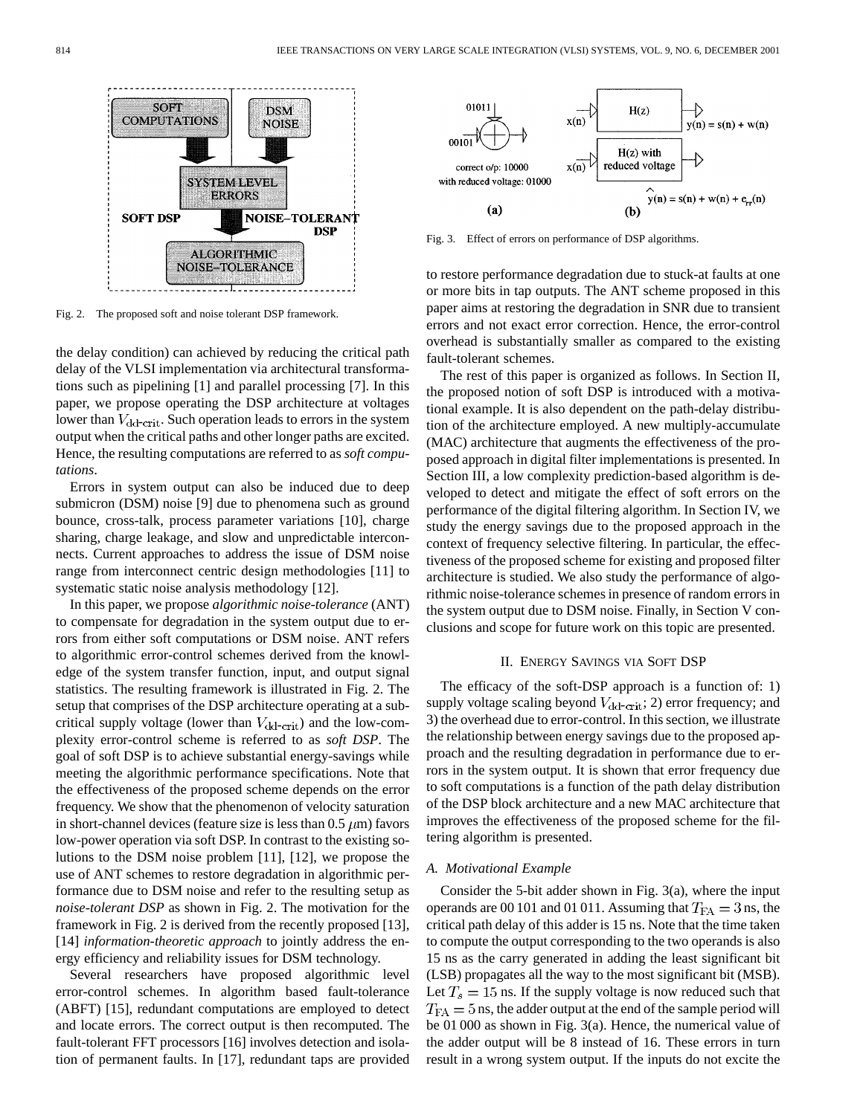

Fig. 2. The proposed soft and noise tolerant DSP framework.

the delay condition) can achieved by reducing the critical path delay of the VLSI implementation via architectural transformations such as pipelining [1] and parallel processing [7]. In this paper, we propose operating the DSP architecture at voltages lower than  $V_{\text{dd-crit}}$ . Such operation leads to errors in the system output when the critical paths and other longer paths are excited. Hence, the resulting computations are referred to as *soft computations*.

Errors in system output can also be induced due to deep submicron (DSM) noise [9] due to phenomena such as ground bounce, cross-talk, process parameter variations [10], charge sharing, charge leakage, and slow and unpredictable interconnects. Current approaches to address the issue of DSM noise range from interconnect centric design methodologies [11] to systematic static noise analysis methodology [12].

In this paper, we propose *algorithmic noise-tolerance* (ANT) to compensate for degradation in the system output due to errors from either soft computations or DSM noise. ANT refers to algorithmic error-control schemes derived from the knowledge of the system transfer function, input, and output signal statistics. The resulting framework is illustrated in Fig. 2. The setup that comprises of the DSP architecture operating at a subcritical supply voltage (lower than  $V_{dd-crit}$ ) and the low-complexity error-control scheme is referred to as *soft DSP*. The goal of soft DSP is to achieve substantial energy-savings while meeting the algorithmic performance specifications. Note that the effectiveness of the proposed scheme depends on the error frequency. We show that the phenomenon of velocity saturation in short-channel devices (feature size is less than  $0.5 \mu m$ ) favors low-power operation via soft DSP. In contrast to the existing solutions to the DSM noise problem [11], [12], we propose the use of ANT schemes to restore degradation in algorithmic performance due to DSM noise and refer to the resulting setup as *noise-tolerant DSP* as shown in Fig. 2. The motivation for the framework in Fig. 2 is derived from the recently proposed [13], [14] *information-theoretic approach* to jointly address the energy efficiency and reliability issues for DSM technology.

Several researchers have proposed algorithmic level error-control schemes. In algorithm based fault-tolerance (ABFT) [15], redundant computations are employed to detect and locate errors. The correct output is then recomputed. The fault-tolerant FFT processors [16] involves detection and isolation of permanent faults. In [17], redundant taps are provided



Fig. 3. Effect of errors on performance of DSP algorithms.

to restore performance degradation due to stuck-at faults at one or more bits in tap outputs. The ANT scheme proposed in this paper aims at restoring the degradation in SNR due to transient errors and not exact error correction. Hence, the error-control overhead is substantially smaller as compared to the existing fault-tolerant schemes.

The rest of this paper is organized as follows. In Section II, the proposed notion of soft DSP is introduced with a motivational example. It is also dependent on the path-delay distribution of the architecture employed. A new multiply-accumulate (MAC) architecture that augments the effectiveness of the proposed approach in digital filter implementations is presented. In Section III, a low complexity prediction-based algorithm is developed to detect and mitigate the effect of soft errors on the performance of the digital filtering algorithm. In Section IV, we study the energy savings due to the proposed approach in the context of frequency selective filtering. In particular, the effectiveness of the proposed scheme for existing and proposed filter architecture is studied. We also study the performance of algorithmic noise-tolerance schemes in presence of random errors in the system output due to DSM noise. Finally, in Section V conclusions and scope for future work on this topic are presented.

#### II. ENERGY SAVINGS VIA SOFT DSP

The efficacy of the soft-DSP approach is a function of: 1) supply voltage scaling beyond  $V_{dd-crit}$ ; 2) error frequency; and 3) the overhead due to error-control. In this section, we illustrate the relationship between energy savings due to the proposed approach and the resulting degradation in performance due to errors in the system output. It is shown that error frequency due to soft computations is a function of the path delay distribution of the DSP block architecture and a new MAC architecture that improves the effectiveness of the proposed scheme for the filtering algorithm is presented.

## *A. Motivational Example*

Consider the 5-bit adder shown in Fig. 3(a), where the input operands are 00 101 and 01 011. Assuming that  $T_{FA} = 3$  ns, the critical path delay of this adder is 15 ns. Note that the time taken to compute the output corresponding to the two operands is also 15 ns as the carry generated in adding the least significant bit (LSB) propagates all the way to the most significant bit (MSB). Let  $T_s = 15$  ns. If the supply voltage is now reduced such that  $T_{FA} = 5$  ns, the adder output at the end of the sample period will be 01 000 as shown in Fig. 3(a). Hence, the numerical value of the adder output will be 8 instead of 16. These errors in turn result in a wrong system output. If the inputs do not excite the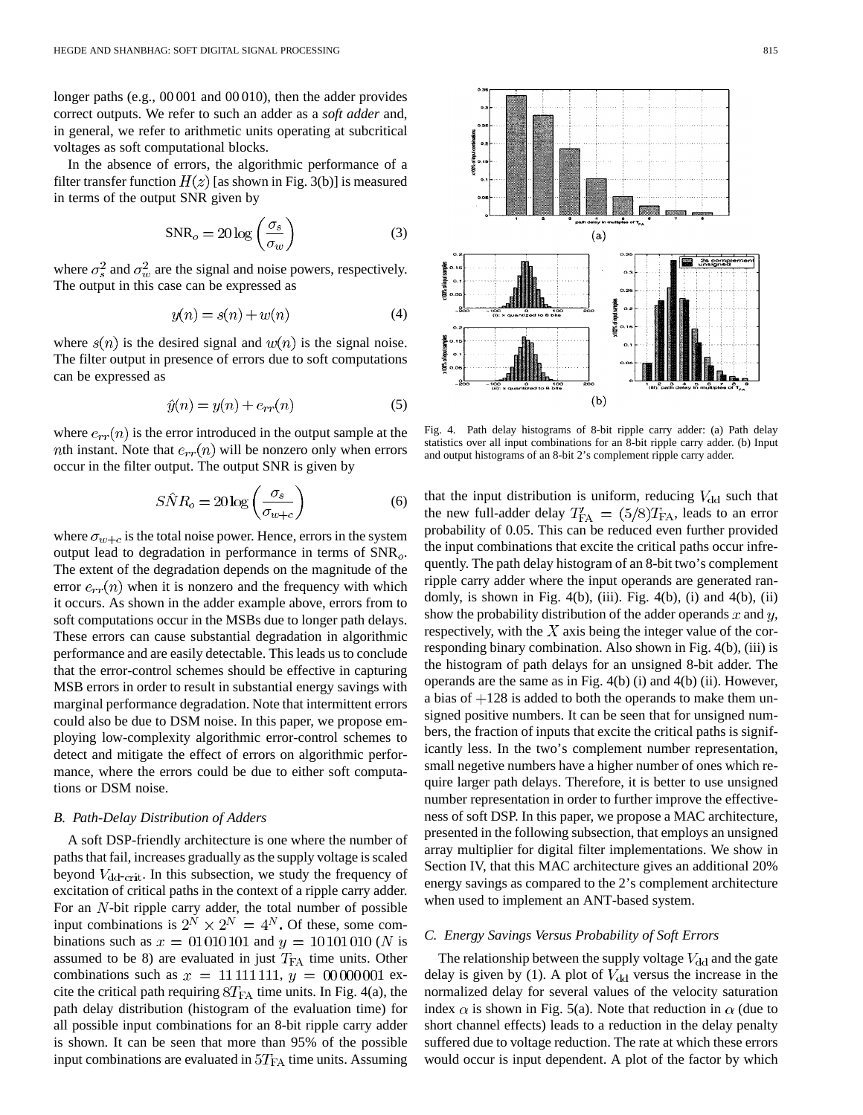longer paths (e.g., 00 001 and 00 010), then the adder provides correct outputs. We refer to such an adder as a *soft adder* and, in general, we refer to arithmetic units operating at subcritical voltages as soft computational blocks.

In the absence of errors, the algorithmic performance of a filter transfer function  $H(z)$  [as shown in Fig. 3(b)] is measured in terms of the output SNR given by

$$
SNR_o = 20 \log \left(\frac{\sigma_s}{\sigma_w}\right) \tag{3}
$$

where  $\sigma_s^2$  and  $\sigma_w^2$  are the signal and noise powers, respectively. The output in this case can be expressed as

$$
y(n) = s(n) + w(n)
$$
\n<sup>(4)</sup>

where  $s(n)$  is the desired signal and  $w(n)$  is the signal noise. The filter output in presence of errors due to soft computations can be expressed as

$$
\hat{y}(n) = y(n) + e_{rr}(n) \tag{5}
$$

where  $e_{rr}(n)$  is the error introduced in the output sample at the *nth* instant. Note that  $e_{rr}(n)$  will be nonzero only when errors occur in the filter output. The output SNR is given by

$$
S\hat{N}R_o = 20\log\left(\frac{\sigma_s}{\sigma_{w+c}}\right) \tag{6}
$$

where  $\sigma_{w+c}$  is the total noise power. Hence, errors in the system output lead to degradation in performance in terms of  $SNR<sub>o</sub>$ . The extent of the degradation depends on the magnitude of the error  $e_{rr}(n)$  when it is nonzero and the frequency with which it occurs. As shown in the adder example above, errors from to soft computations occur in the MSBs due to longer path delays. These errors can cause substantial degradation in algorithmic performance and are easily detectable. This leads us to conclude that the error-control schemes should be effective in capturing MSB errors in order to result in substantial energy savings with marginal performance degradation. Note that intermittent errors could also be due to DSM noise. In this paper, we propose employing low-complexity algorithmic error-control schemes to detect and mitigate the effect of errors on algorithmic performance, where the errors could be due to either soft computations or DSM noise.

# *B. Path-Delay Distribution of Adders*

A soft DSP-friendly architecture is one where the number of paths that fail, increases gradually as the supply voltage is scaled beyond  $V_{\text{dd-crit}}$ . In this subsection, we study the frequency of excitation of critical paths in the context of a ripple carry adder. For an  $N$ -bit ripple carry adder, the total number of possible input combinations is  $2^N \times 2^N = 4^N$ . Of these, some combinations such as  $x = 01010101$  and  $y = 10101010$  (N is assumed to be 8) are evaluated in just  $T_{FA}$  time units. Other combinations such as  $x = 11111111$ ,  $y = 00000001$  excite the critical path requiring  $8T_{FA}$  time units. In Fig. 4(a), the path delay distribution (histogram of the evaluation time) for all possible input combinations for an 8-bit ripple carry adder is shown. It can be seen that more than 95% of the possible input combinations are evaluated in  $5T_{FA}$  time units. Assuming



Fig. 4. Path delay histograms of 8-bit ripple carry adder: (a) Path delay statistics over all input combinations for an 8-bit ripple carry adder. (b) Input and output histograms of an 8-bit 2's complement ripple carry adder.

that the input distribution is uniform, reducing  $V_{dd}$  such that the new full-adder delay  $T'_{FA} = (5/8)T_{FA}$ , leads to an error probability of 0.05. This can be reduced even further provided the input combinations that excite the critical paths occur infrequently. The path delay histogram of an 8-bit two's complement ripple carry adder where the input operands are generated randomly, is shown in Fig.  $4(b)$ , (iii). Fig.  $4(b)$ , (i) and  $4(b)$ , (ii) show the probability distribution of the adder operands  $x$  and  $y$ , respectively, with the  $X$  axis being the integer value of the corresponding binary combination. Also shown in Fig. 4(b), (iii) is the histogram of path delays for an unsigned 8-bit adder. The operands are the same as in Fig. 4(b) (i) and 4(b) (ii). However, a bias of  $+128$  is added to both the operands to make them unsigned positive numbers. It can be seen that for unsigned numbers, the fraction of inputs that excite the critical paths is significantly less. In the two's complement number representation, small negetive numbers have a higher number of ones which require larger path delays. Therefore, it is better to use unsigned number representation in order to further improve the effectiveness of soft DSP. In this paper, we propose a MAC architecture, presented in the following subsection, that employs an unsigned array multiplier for digital filter implementations. We show in Section IV, that this MAC architecture gives an additional 20% energy savings as compared to the 2's complement architecture when used to implement an ANT-based system.

# *C. Energy Savings Versus Probability of Soft Errors*

The relationship between the supply voltage  $V_{\text{dd}}$  and the gate delay is given by (1). A plot of  $V_{\text{dd}}$  versus the increase in the normalized delay for several values of the velocity saturation index  $\alpha$  is shown in Fig. 5(a). Note that reduction in  $\alpha$  (due to short channel effects) leads to a reduction in the delay penalty suffered due to voltage reduction. The rate at which these errors would occur is input dependent. A plot of the factor by which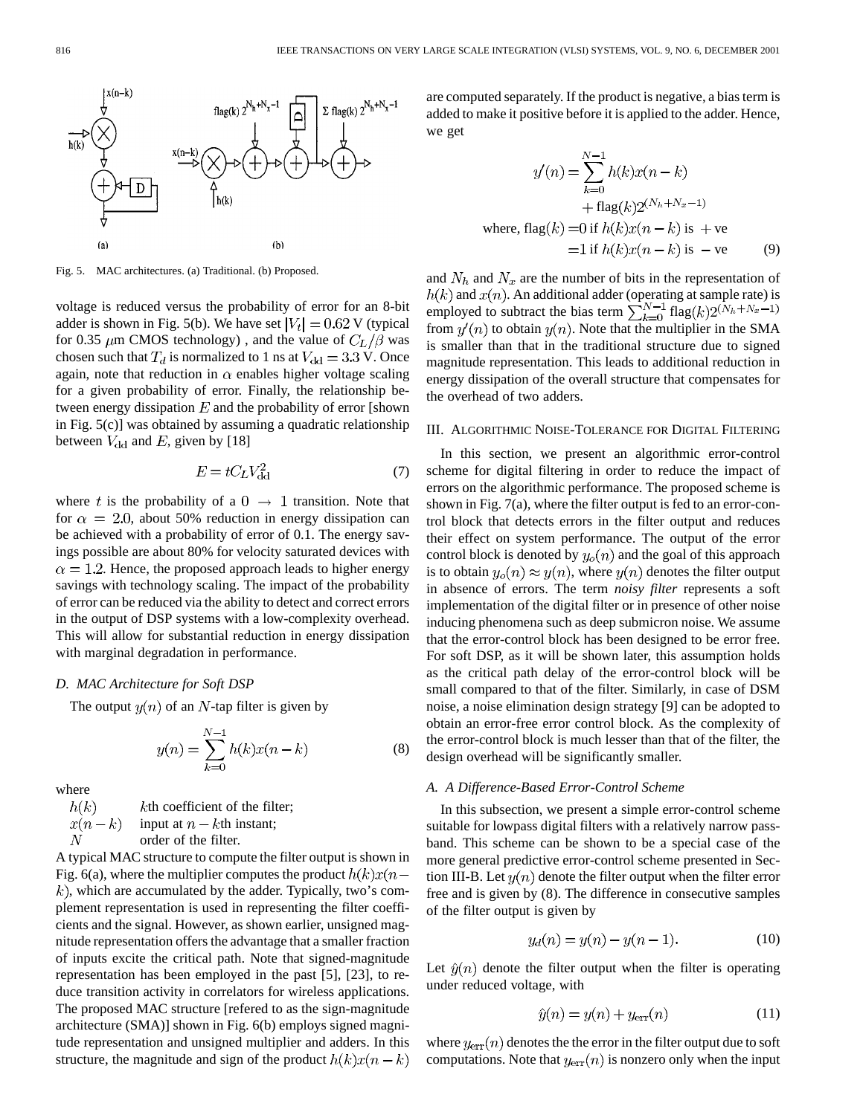

Fig. 5. MAC architectures. (a) Traditional. (b) Proposed.

voltage is reduced versus the probability of error for an 8-bit adder is shown in Fig. 5(b). We have set  $|V_t| = 0.62$  V (typical for 0.35  $\mu$ m CMOS technology), and the value of  $C_L/\beta$  was chosen such that  $T_d$  is normalized to 1 ns at  $V_{\text{dd}} = 3.3 \text{ V}$ . Once again, note that reduction in  $\alpha$  enables higher voltage scaling for a given probability of error. Finally, the relationship between energy dissipation  $E$  and the probability of error [shown] in Fig. 5(c)] was obtained by assuming a quadratic relationship between  $V_{\text{dd}}$  and E, given by [18]

$$
E = tC_L V_{\rm dd}^2 \tag{7}
$$

where t is the probability of a  $0 \rightarrow 1$  transition. Note that for  $\alpha = 2.0$ , about 50% reduction in energy dissipation can be achieved with a probability of error of 0.1. The energy savings possible are about 80% for velocity saturated devices with  $\alpha = 1.2$ . Hence, the proposed approach leads to higher energy savings with technology scaling. The impact of the probability of error can be reduced via the ability to detect and correct errors in the output of DSP systems with a low-complexity overhead. This will allow for substantial reduction in energy dissipation with marginal degradation in performance.

# *D. MAC Architecture for Soft DSP*

The output  $y(n)$  of an N-tap filter is given by

$$
y(n) = \sum_{k=0}^{N-1} h(k)x(n-k)
$$
 (8)

where

kth coefficient of the filter;  $h(k)$  $x(n-k)$ input at  $n - k$ th instant;  $\cal N$ order of the filter.

A typical MAC structure to compute the filter output is shown in Fig. 6(a), where the multiplier computes the product  $h(k)x(n (k)$ , which are accumulated by the adder. Typically, two's complement representation is used in representing the filter coefficients and the signal. However, as shown earlier, unsigned magnitude representation offers the advantage that a smaller fraction of inputs excite the critical path. Note that signed-magnitude representation has been employed in the past [5], [23], to reduce transition activity in correlators for wireless applications. The proposed MAC structure [refered to as the sign-magnitude architecture (SMA)] shown in Fig. 6(b) employs signed magnitude representation and unsigned multiplier and adders. In this structure, the magnitude and sign of the product  $h(k)x(n - k)$  are computed separately. If the product is negative, a bias term is added to make it positive before it is applied to the adder. Hence, we get

$$
y'(n) = \sum_{k=0}^{N-1} h(k)x(n-k)
$$
  
+ flag(k)2<sup>(N<sub>h</sub>+N<sub>x</sub>-1)</sup>  
where, flag(k) = 0 if h(k)x(n - k) is +ve  
=1 if h(k)x(n - k) is -ve (9)

and  $N_h$  and  $N_x$  are the number of bits in the representation of and  $x(n)$ . An additional adder (operating at sample rate) is employed to subtract the bias term  $\sum_{k=0}^{N-1}$  flag from  $y'(n)$  to obtain  $y(n)$ . Note that the multiplier in the SMA is smaller than that in the traditional structure due to signed magnitude representation. This leads to additional reduction in energy dissipation of the overall structure that compensates for the overhead of two adders.

## III. ALGORITHMIC NOISE-TOLERANCE FOR DIGITAL FILTERING

In this section, we present an algorithmic error-control scheme for digital filtering in order to reduce the impact of errors on the algorithmic performance. The proposed scheme is shown in Fig. 7(a), where the filter output is fed to an error-control block that detects errors in the filter output and reduces their effect on system performance. The output of the error control block is denoted by  $y_o(n)$  and the goal of this approach is to obtain  $y_o(n) \approx y(n)$ , where  $y(n)$  denotes the filter output in absence of errors. The term *noisy filter* represents a soft implementation of the digital filter or in presence of other noise inducing phenomena such as deep submicron noise. We assume that the error-control block has been designed to be error free. For soft DSP, as it will be shown later, this assumption holds as the critical path delay of the error-control block will be small compared to that of the filter. Similarly, in case of DSM noise, a noise elimination design strategy [9] can be adopted to obtain an error-free error control block. As the complexity of the error-control block is much lesser than that of the filter, the design overhead will be significantly smaller.

# *A. A Difference-Based Error-Control Scheme*

In this subsection, we present a simple error-control scheme suitable for lowpass digital filters with a relatively narrow passband. This scheme can be shown to be a special case of the more general predictive error-control scheme presented in Section III-B. Let  $y(n)$  denote the filter output when the filter error free and is given by (8). The difference in consecutive samples of the filter output is given by

$$
y_d(n) = y(n) - y(n-1).
$$
 (10)

Let  $\hat{y}(n)$  denote the filter output when the filter is operating under reduced voltage, with

$$
\hat{y}(n) = y(n) + y_{\text{err}}(n) \tag{11}
$$

where  $y_{err}(n)$  denotes the the error in the filter output due to soft computations. Note that  $y_{\text{err}}(n)$  is nonzero only when the input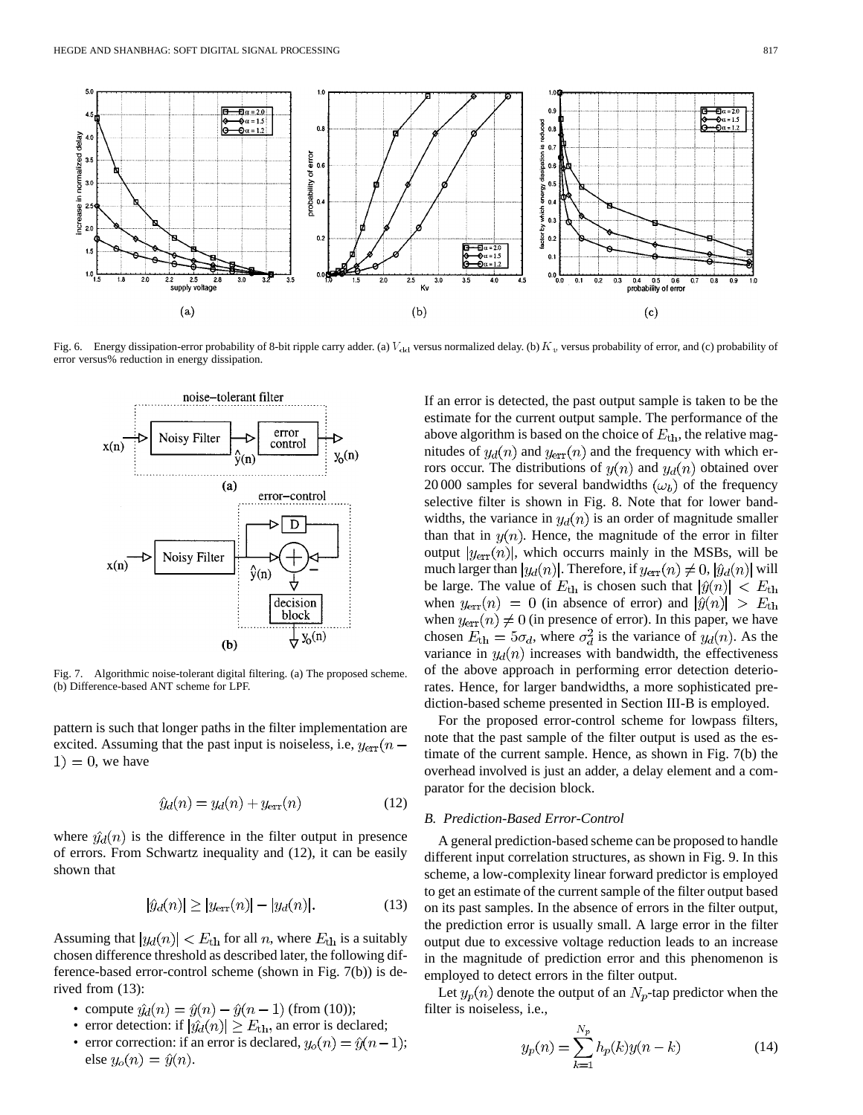

Fig. 6. Energy dissipation-error probability of 8-bit ripple carry adder. (a)  $V_{\text{dd}}$  versus normalized delay. (b)  $K_v$  versus probability of error, and (c) probability of error versus% reduction in energy dissipation.



Fig. 7. Algorithmic noise-tolerant digital filtering. (a) The proposed scheme. (b) Difference-based ANT scheme for LPF.

pattern is such that longer paths in the filter implementation are excited. Assuming that the past input is noiseless, i.e,  $y_{\text{err}}(n (1) = 0$ , we have

$$
\hat{y}_d(n) = y_d(n) + y_{\text{err}}(n) \tag{12}
$$

where  $\hat{y}_d(n)$  is the difference in the filter output in presence of errors. From Schwartz inequality and (12), it can be easily shown that

$$
|\hat{y}_d(n)| \ge |y_{\text{err}}(n)| - |y_d(n)|. \tag{13}
$$

Assuming that  $|y_d(n)| < E_{\text{th}}$  for all *n*, where  $E_{\text{th}}$  is a suitably chosen difference threshold as described later, the following difference-based error-control scheme (shown in Fig. 7(b)) is derived from (13):

- compute  $\hat{y}_d(n) = \hat{y}(n) \hat{y}(n-1)$  (from (10));
- error detection: if  $|\hat{y}_d(n)| \ge E_{\text{th}}$ , an error is declared;
- error correction: if an error is declared,  $y_o(n) = \hat{y}(n-1)$ ; else  $y_o(n) = \hat{y}(n)$ .

If an error is detected, the past output sample is taken to be the estimate for the current output sample. The performance of the above algorithm is based on the choice of  $E_{\text{th}}$ , the relative magnitudes of  $y_d(n)$  and  $y_{err}(n)$  and the frequency with which errors occur. The distributions of  $y(n)$  and  $y_d(n)$  obtained over 20 000 samples for several bandwidths  $(\omega_b)$  of the frequency selective filter is shown in Fig. 8. Note that for lower bandwidths, the variance in  $y_d(n)$  is an order of magnitude smaller than that in  $y(n)$ . Hence, the magnitude of the error in filter output  $|y_{\text{err}}(n)|$ , which occurrs mainly in the MSBs, will be much larger than  $|y_d(n)|$ . Therefore, if  $y_{\text{err}}(n) \neq 0$ ,  $|\hat{y}_d(n)|$  will be large. The value of  $E_{\text{th}}$  is chosen such that  $|\hat{y}(n)| < E_{\text{th}}$ when  $y_{\text{err}}(n) = 0$  (in absence of error) and  $|\hat{y}(n)| > E_{\text{th}}$ when  $y_{\text{err}}(n) \neq 0$  (in presence of error). In this paper, we have chosen  $E_{\text{th}} = 5\sigma_d$ , where  $\sigma_d^2$  is the variance of  $y_d(n)$ . As the variance in  $y_d(n)$  increases with bandwidth, the effectiveness of the above approach in performing error detection deteriorates. Hence, for larger bandwidths, a more sophisticated prediction-based scheme presented in Section III-B is employed.

For the proposed error-control scheme for lowpass filters, note that the past sample of the filter output is used as the estimate of the current sample. Hence, as shown in Fig. 7(b) the overhead involved is just an adder, a delay element and a comparator for the decision block.

# *B. Prediction-Based Error-Control*

A general prediction-based scheme can be proposed to handle different input correlation structures, as shown in Fig. 9. In this scheme, a low-complexity linear forward predictor is employed to get an estimate of the current sample of the filter output based on its past samples. In the absence of errors in the filter output, the prediction error is usually small. A large error in the filter output due to excessive voltage reduction leads to an increase in the magnitude of prediction error and this phenomenon is employed to detect errors in the filter output.

Let  $y_p(n)$  denote the output of an  $N_p$ -tap predictor when the filter is noiseless, i.e.,

$$
y_p(n) = \sum_{k=1}^{N_p} h_p(k)y(n-k)
$$
 (14)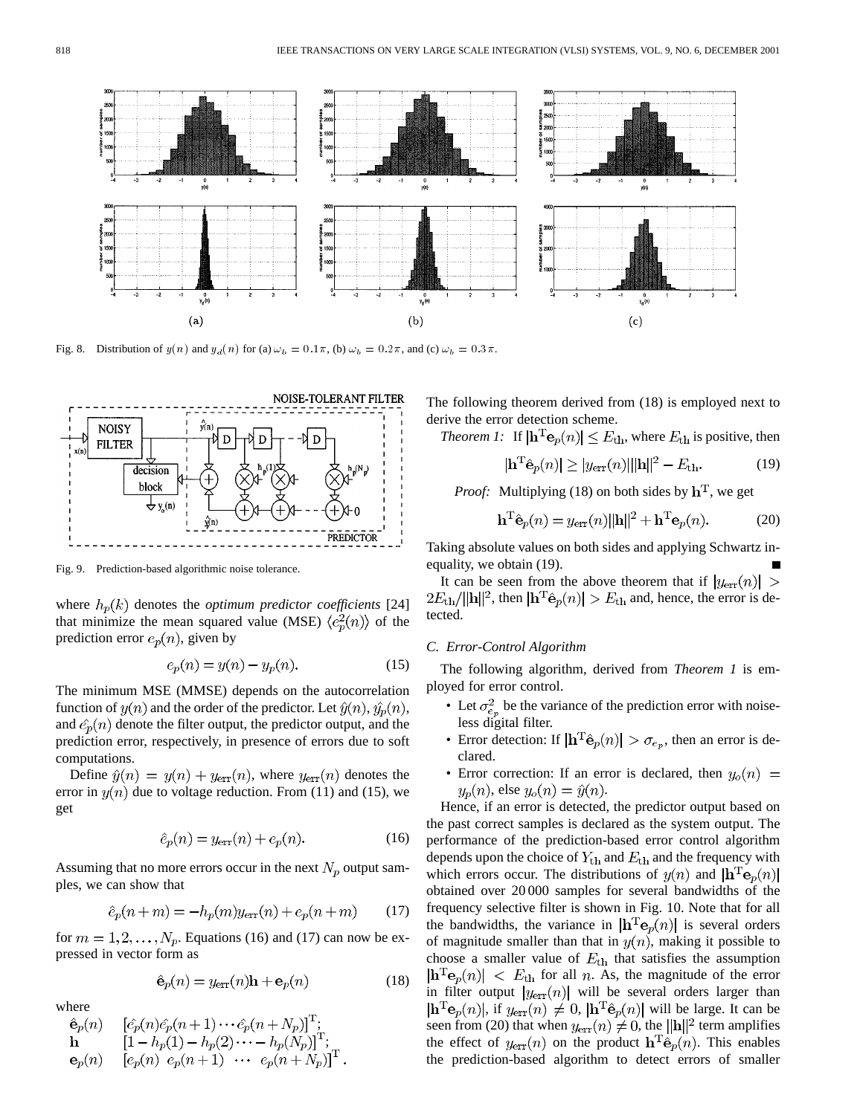

Fig. 8. Distribution of  $y(n)$  and  $y_d(n)$  for (a)  $\omega_b = 0.1\pi$ , (b)  $\omega_b = 0.2\pi$ , and (c)  $\omega_b = 0.3\pi$ .



Fig. 9. Prediction-based algorithmic noise tolerance.

where  $h_p(k)$  denotes the *optimum predictor coefficients* [24] that minimize the mean squared value (MSE)  $\langle e_n^2(n) \rangle$  of the prediction error  $e_p(n)$ , given by

$$
e_p(n) = y(n) - y_p(n). \tag{15}
$$

The minimum MSE (MMSE) depends on the autocorrelation function of  $y(n)$  and the order of the predictor. Let  $\hat{y}(n), \hat{y}_p(n)$ , and  $\hat{e}_p(n)$  denote the filter output, the predictor output, and the prediction error, respectively, in presence of errors due to soft computations.

Define  $\hat{y}(n) = y(n) + y_{\text{err}}(n)$ , where  $y_{\text{err}}(n)$  denotes the error in  $y(n)$  due to voltage reduction. From (11) and (15), we get

$$
\hat{e}_p(n) = y_{\text{err}}(n) + e_p(n). \tag{16}
$$

Assuming that no more errors occur in the next  $N_p$  output samples, we can show that

$$
\hat{e}_p(n+m) = -h_p(m)y_{\text{err}}(n) + e_p(n+m) \tag{17}
$$

for  $m = 1, 2, \dots, N_p$ . Equations (16) and (17) can now be expressed in vector form as

$$
\hat{\mathbf{e}}_p(n) = y_{\text{err}}(n)\mathbf{h} + \mathbf{e}_p(n) \tag{18}
$$

where

$$
\begin{array}{ll}\n\hat{\mathbf{e}}_p(n) & \left[ \hat{e}_p(n) \hat{e}_p(n+1) \cdots \hat{e}_p(n+N_p) \right]^{\mathrm{T}}; \\
\mathbf{h} & \left[ 1 - h_p(1) - h_p(2) \cdots - h_p(N_p) \right]^{\mathrm{T}}; \\
\mathbf{e}_p(n) & \left[ e_p(n) \ e_p(n+1) \ \cdots \ e_p(n+N_p) \right]^{\mathrm{T}}.\n\end{array}
$$

The following theorem derived from (18) is employed next to derive the error detection scheme.

*Theorem 1:* If  $|\mathbf{h}^T \mathbf{e}_p(n)| \leq E_{\text{th}}$ , where  $E_{\text{th}}$  is positive, then

$$
|\mathbf{h}^{\mathrm{T}}\hat{\mathbf{e}}_{p}(n)| \ge |y_{\mathrm{err}}(n)| ||\mathbf{h}||^{2} - E_{\mathrm{th}}.
$$
 (19)

*Proof:* Multiplying (18) on both sides by  $h^T$ , we get

$$
\mathbf{h}^{\mathrm{T}}\hat{\mathbf{e}}_p(n) = y_{\mathrm{err}}(n)||\mathbf{h}||^2 + \mathbf{h}^{\mathrm{T}}\mathbf{e}_p(n). \tag{20}
$$

Taking absolute values on both sides and applying Schwartz inequality, we obtain (19).

It can be seen from the above theorem that if  $|y_{\text{err}}(n)| >$  $2E_{\text{th}}/||\mathbf{h}||^2$ , then  $|\mathbf{h}^{\text{T}}\hat{\mathbf{e}}_p(n)| > E_{\text{th}}$  and, hence, the error is detected.

# *C. Error-Control Algorithm*

The following algorithm, derived from *Theorem 1* is employed for error control.

- Let  $\sigma_{e_p}^2$  be the variance of the prediction error with noiseless digital filter.
- Error detection: If  $|\mathbf{h}^{\mathrm{T}}\hat{\mathbf{e}}_p(n)| > \sigma_{e_p}$ , then an error is declared.
- Error correction: If an error is declared, then  $y_o(n)$  =  $y_p(n)$ , else  $y_o(n) = \hat{y}(n)$ .

Hence, if an error is detected, the predictor output based on the past correct samples is declared as the system output. The performance of the prediction-based error control algorithm depends upon the choice of  $Y_{\text{th}}$  and  $E_{\text{th}}$  and the frequency with which errors occur. The distributions of  $y(n)$  and  $|\mathbf{h}^{\mathrm{T}}\mathbf{e}_p(n)|$ obtained over 20 000 samples for several bandwidths of the frequency selective filter is shown in Fig. 10. Note that for all the bandwidths, the variance in  $\mathbf{h}^T \mathbf{e}_p(n)$  is several orders of magnitude smaller than that in  $y(n)$ , making it possible to choose a smaller value of  $E_{\text{th}}$  that satisfies the assumption  $|\mathbf{h}^{\mathrm{T}}\mathbf{e}_p(n)| \leq E_{\text{th}}$  for all *n*. As, the magnitude of the error in filter output  $|y_{\text{err}}(n)|$  will be several orders larger than  $|\mathbf{h}^{\mathrm{T}}\mathbf{e}_p(n)|$ , if  $y_{\text{err}}(n) \neq 0$ ,  $|\mathbf{h}^{\mathrm{T}}\hat{\mathbf{e}}_p(n)|$  will be large. It can be seen from (20) that when  $y_{\text{err}}(n) \neq 0$ , the  $||\mathbf{h}||^2$  term amplifies the effect of  $y_{err}(n)$  on the product  $\mathbf{h}^{\mathrm{T}}\hat{\mathbf{e}}_p(n)$ . This enables the prediction-based algorithm to detect errors of smaller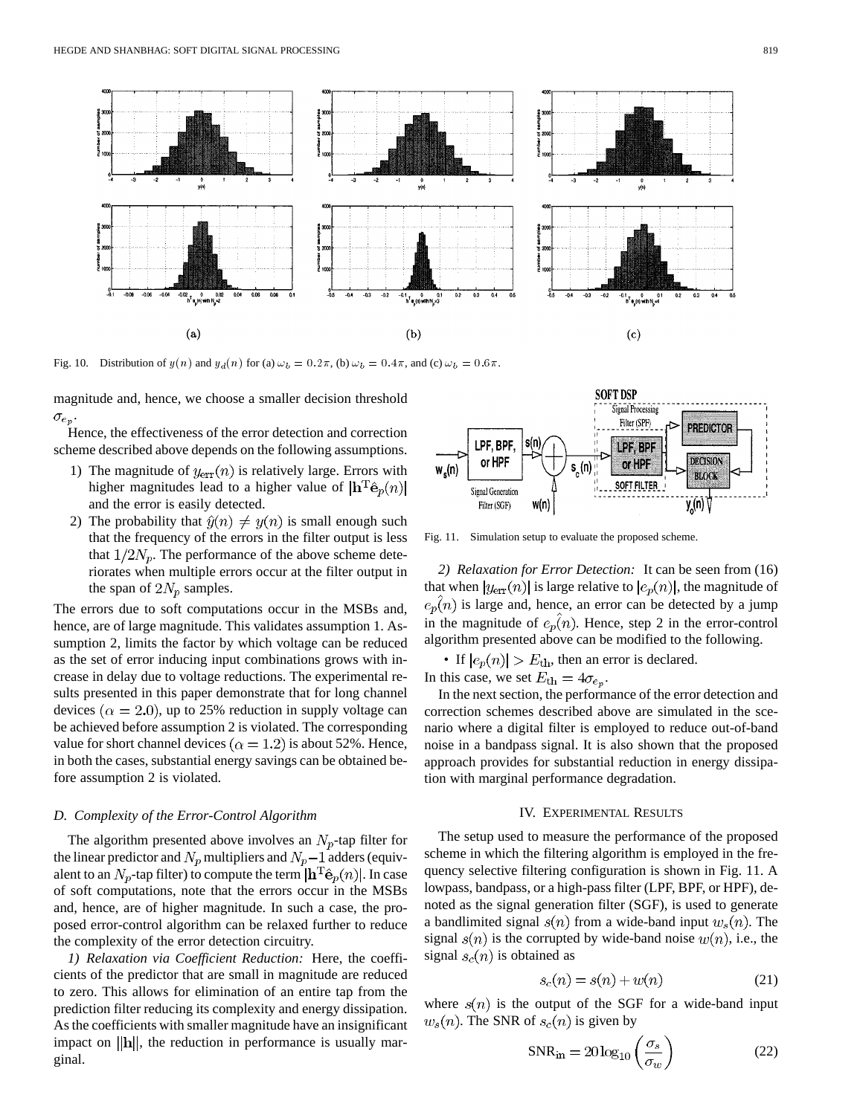

Fig. 10. Distribution of  $y(n)$  and  $y_d(n)$  for (a)  $\omega_b = 0.2\pi$ , (b)  $\omega_b = 0.4\pi$ , and (c)  $\omega_b = 0.6\pi$ .

magnitude and, hence, we choose a smaller decision threshold  $\sigma_{e_p}$ 

Hence, the effectiveness of the error detection and correction scheme described above depends on the following assumptions.

- 1) The magnitude of  $y_{\text{err}}(n)$  is relatively large. Errors with higher magnitudes lead to a higher value of  $|\mathbf{h}^{\mathrm{T}}\hat{\mathbf{e}}_p(n)|$ and the error is easily detected.
- 2) The probability that  $\hat{y}(n) \neq y(n)$  is small enough such that the frequency of the errors in the filter output is less that  $1/2N_p$ . The performance of the above scheme deteriorates when multiple errors occur at the filter output in the span of  $2N_p$  samples.

The errors due to soft computations occur in the MSBs and, hence, are of large magnitude. This validates assumption 1. Assumption 2, limits the factor by which voltage can be reduced as the set of error inducing input combinations grows with increase in delay due to voltage reductions. The experimental results presented in this paper demonstrate that for long channel devices ( $\alpha = 2.0$ ), up to 25% reduction in supply voltage can be achieved before assumption 2 is violated. The corresponding value for short channel devices ( $\alpha = 1.2$ ) is about 52%. Hence, in both the cases, substantial energy savings can be obtained before assumption 2 is violated.

### *D. Complexity of the Error-Control Algorithm*

The algorithm presented above involves an  $N_p$ -tap filter for the linear predictor and  $N_p$  multipliers and  $N_p-1$  adders (equivalent to an  $N_p$ -tap filter) to compute the term  $\left|\mathbf{h}^T\hat{\mathbf{e}}_p(n)\right|$ . In case of soft computations, note that the errors occur in the MSBs and, hence, are of higher magnitude. In such a case, the proposed error-control algorithm can be relaxed further to reduce the complexity of the error detection circuitry.

*1) Relaxation via Coefficient Reduction:* Here, the coefficients of the predictor that are small in magnitude are reduced to zero. This allows for elimination of an entire tap from the prediction filter reducing its complexity and energy dissipation. As the coefficients with smaller magnitude have an insignificant impact on  $\|\mathbf{h}\|$ , the reduction in performance is usually marginal.



Fig. 11. Simulation setup to evaluate the proposed scheme.

*2) Relaxation for Error Detection:* It can be seen from (16) that when  $|y_{err}(n)|$  is large relative to  $|e_p(n)|$ , the magnitude of  $e_p(n)$  is large and, hence, an error can be detected by a jump in the magnitude of  $e_p(n)$ . Hence, step 2 in the error-control algorithm presented above can be modified to the following.

• If  $|e_p(n)| > E_{\text{th}}$ , then an error is declared. In this case, we set  $E_{\text{th}} = 4\sigma_{e_p}$ .

In the next section, the performance of the error detection and correction schemes described above are simulated in the scenario where a digital filter is employed to reduce out-of-band noise in a bandpass signal. It is also shown that the proposed approach provides for substantial reduction in energy dissipation with marginal performance degradation.

# IV. EXPERIMENTAL RESULTS

The setup used to measure the performance of the proposed scheme in which the filtering algorithm is employed in the frequency selective filtering configuration is shown in Fig. 11. A lowpass, bandpass, or a high-pass filter (LPF, BPF, or HPF), denoted as the signal generation filter (SGF), is used to generate a bandlimited signal  $s(n)$  from a wide-band input  $w_s(n)$ . The signal  $s(n)$  is the corrupted by wide-band noise  $w(n)$ , i.e., the signal  $s_c(n)$  is obtained as

$$
s_c(n) = s(n) + w(n) \tag{21}
$$

where  $s(n)$  is the output of the SGF for a wide-band input  $w_s(n)$ . The SNR of  $s_c(n)$  is given by

$$
SNR_{\rm in} = 20 \log_{10} \left( \frac{\sigma_s}{\sigma_w} \right) \tag{22}
$$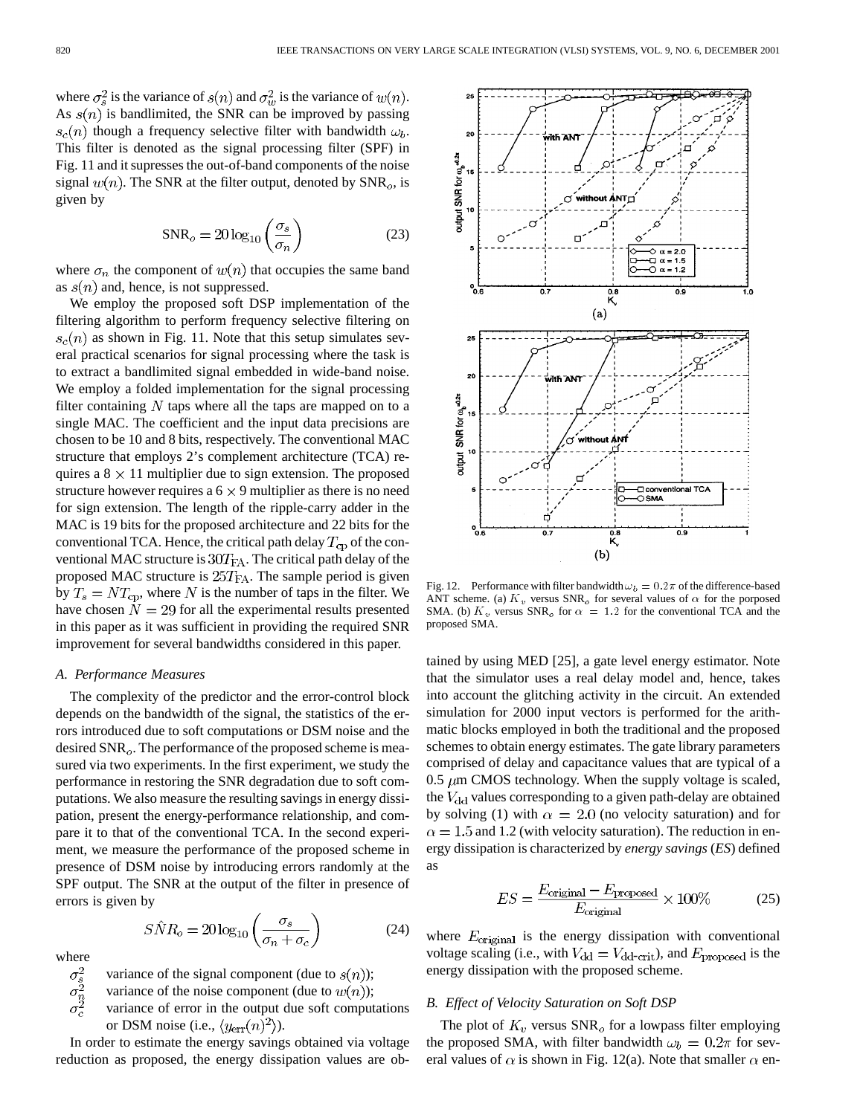where  $\sigma_s^2$  is the variance of  $s(n)$  and  $\sigma_w^2$  is the variance of  $w(n)$ . As  $s(n)$  is bandlimited, the SNR can be improved by passing  $s_c(n)$  though a frequency selective filter with bandwidth  $\omega_b$ . This filter is denoted as the signal processing filter (SPF) in Fig. 11 and it supresses the out-of-band components of the noise signal  $w(n)$ . The SNR at the filter output, denoted by  $\text{SNR}_o$ , is given by

$$
SNR_o = 20 \log_{10} \left( \frac{\sigma_s}{\sigma_n} \right) \tag{23}
$$

where  $\sigma_n$  the component of  $w(n)$  that occupies the same band as  $s(n)$  and, hence, is not suppressed.

We employ the proposed soft DSP implementation of the filtering algorithm to perform frequency selective filtering on  $s_c(n)$  as shown in Fig. 11. Note that this setup simulates several practical scenarios for signal processing where the task is to extract a bandlimited signal embedded in wide-band noise. We employ a folded implementation for the signal processing filter containing  $N$  taps where all the taps are mapped on to a single MAC. The coefficient and the input data precisions are chosen to be 10 and 8 bits, respectively. The conventional MAC structure that employs 2's complement architecture (TCA) requires a  $8 \times 11$  multiplier due to sign extension. The proposed structure however requires a  $6 \times 9$  multiplier as there is no need for sign extension. The length of the ripple-carry adder in the MAC is 19 bits for the proposed architecture and 22 bits for the conventional TCA. Hence, the critical path delay  $T_{\text{cp}}$  of the conventional MAC structure is  $30T_{FA}$ . The critical path delay of the proposed MAC structure is  $25T<sub>FA</sub>$ . The sample period is given by  $T_s = NT_{cp}$ , where N is the number of taps in the filter. We have chosen  $N = 29$  for all the experimental results presented in this paper as it was sufficient in providing the required SNR improvement for several bandwidths considered in this paper.

# *A. Performance Measures*

The complexity of the predictor and the error-control block depends on the bandwidth of the signal, the statistics of the errors introduced due to soft computations or DSM noise and the desired  $SNR<sub>o</sub>$ . The performance of the proposed scheme is measured via two experiments. In the first experiment, we study the performance in restoring the SNR degradation due to soft computations. We also measure the resulting savings in energy dissipation, present the energy-performance relationship, and compare it to that of the conventional TCA. In the second experiment, we measure the performance of the proposed scheme in presence of DSM noise by introducing errors randomly at the SPF output. The SNR at the output of the filter in presence of errors is given by

$$
S\hat{N}R_o = 20\log_{10}\left(\frac{\sigma_s}{\sigma_n + \sigma_c}\right) \tag{24}
$$

where  $\sigma_s^2$ <br> $\sigma_n^2$ <br> $\sigma_c^2$ 

variance of the signal component (due to  $s(n)$ );

variance of the noise component (due to  $w(n)$ );

variance of error in the output due soft computations or DSM noise (i.e.,  $\langle y_{\text{err}}(n)^2 \rangle$ ).

In order to estimate the energy savings obtained via voltage reduction as proposed, the energy dissipation values are ob-



Fig. 12. Performance with filter bandwidth  $\omega_b = 0.2 \pi$  of the difference-based ANT scheme. (a)  $K_v$  versus SNR<sub>o</sub> for several values of  $\alpha$  for the porposed SMA. (b)  $K_v$  versus SNR<sub>o</sub> for  $\alpha = 1.2$  for the conventional TCA and the proposed SMA.

tained by using MED [25], a gate level energy estimator. Note that the simulator uses a real delay model and, hence, takes into account the glitching activity in the circuit. An extended simulation for 2000 input vectors is performed for the arithmatic blocks employed in both the traditional and the proposed schemes to obtain energy estimates. The gate library parameters comprised of delay and capacitance values that are typical of a 0.5  $\mu$ m CMOS technology. When the supply voltage is scaled, the  $V_{\text{dd}}$  values corresponding to a given path-delay are obtained by solving (1) with  $\alpha = 2.0$  (no velocity saturation) and for  $\alpha = 1.5$  and 1.2 (with velocity saturation). The reduction in energy dissipation is characterized by *energy savings* (*ES*) defined as

$$
ES = \frac{E_{\text{original}} - E_{\text{proposed}}}{E_{\text{original}}} \times 100\% \tag{25}
$$

where  $E_{original}$  is the energy dissipation with conventional voltage scaling (i.e., with  $V_{dd} = V_{dd-crit}$ ), and  $E_{\text{proposed}}$  is the energy dissipation with the proposed scheme.

# *B. Effect of Velocity Saturation on Soft DSP*

The plot of  $K_v$  versus SNR<sub>o</sub> for a lowpass filter employing the proposed SMA, with filter bandwidth  $\omega_b = 0.2\pi$  for several values of  $\alpha$  is shown in Fig. 12(a). Note that smaller  $\alpha$  en-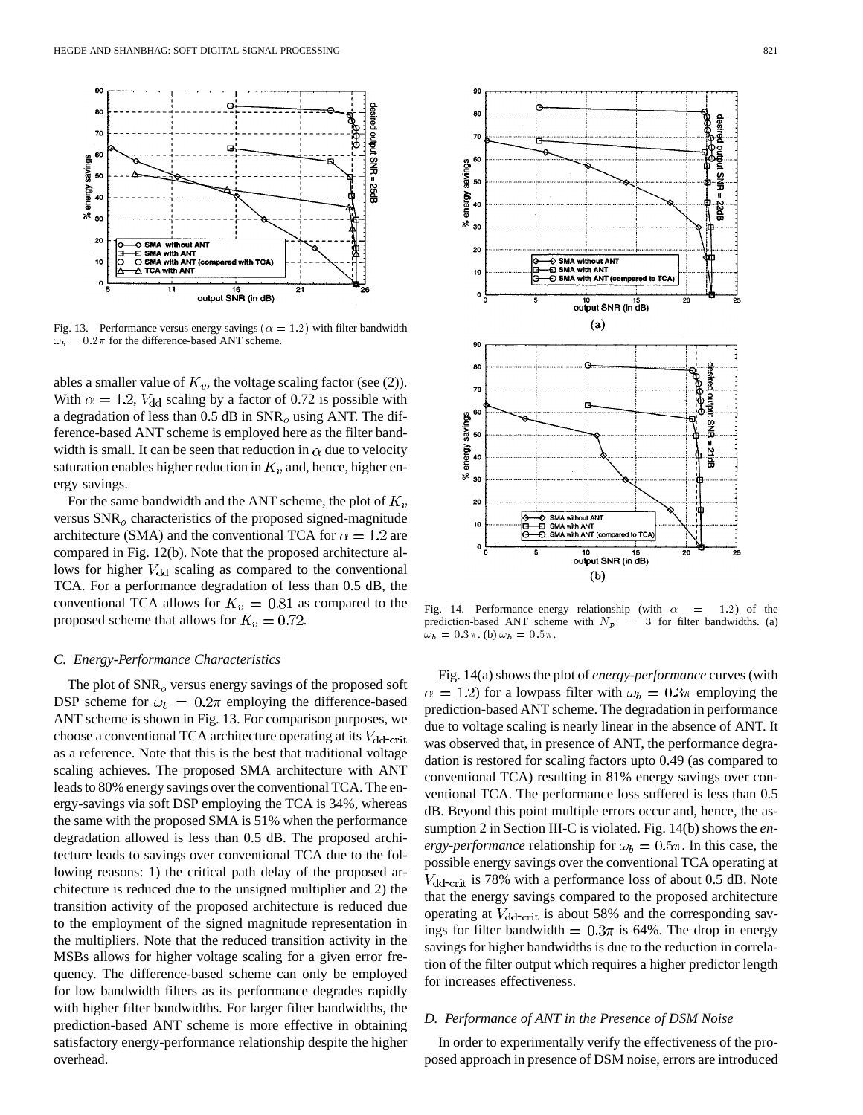

Fig. 13. Performance versus energy savings ( $\alpha = 1.2$ ) with filter bandwidth  $\omega_b = 0.2\pi$  for the difference-based ANT scheme.

ables a smaller value of  $K_v$ , the voltage scaling factor (see (2)). With  $\alpha = 1.2$ ,  $V_{dd}$  scaling by a factor of 0.72 is possible with a degradation of less than 0.5 dB in  $SNR<sub>o</sub>$  using ANT. The difference-based ANT scheme is employed here as the filter bandwidth is small. It can be seen that reduction in  $\alpha$  due to velocity saturation enables higher reduction in  $K_v$  and, hence, higher energy savings.

For the same bandwidth and the ANT scheme, the plot of  $K_v$ versus  $\text{SNR}_o$  characteristics of the proposed signed-magnitude architecture (SMA) and the conventional TCA for  $\alpha = 1.2$  are compared in Fig. 12(b). Note that the proposed architecture allows for higher  $V_{dd}$  scaling as compared to the conventional TCA. For a performance degradation of less than 0.5 dB, the conventional TCA allows for  $K_v = 0.81$  as compared to the proposed scheme that allows for  $K_v = 0.72$ .

## *C. Energy-Performance Characteristics*

The plot of  $SNR<sub>o</sub>$  versus energy savings of the proposed soft DSP scheme for  $\omega_b = 0.2\pi$  employing the difference-based ANT scheme is shown in Fig. 13. For comparison purposes, we choose a conventional TCA architecture operating at its  $V_{dd-crit}$ as a reference. Note that this is the best that traditional voltage scaling achieves. The proposed SMA architecture with ANT leads to 80% energy savings over the conventional TCA. The energy-savings via soft DSP employing the TCA is 34%, whereas the same with the proposed SMA is 51% when the performance degradation allowed is less than 0.5 dB. The proposed architecture leads to savings over conventional TCA due to the following reasons: 1) the critical path delay of the proposed architecture is reduced due to the unsigned multiplier and 2) the transition activity of the proposed architecture is reduced due to the employment of the signed magnitude representation in the multipliers. Note that the reduced transition activity in the MSBs allows for higher voltage scaling for a given error frequency. The difference-based scheme can only be employed for low bandwidth filters as its performance degrades rapidly with higher filter bandwidths. For larger filter bandwidths, the prediction-based ANT scheme is more effective in obtaining satisfactory energy-performance relationship despite the higher overhead.



Fig. 14. Performance–energy relationship (with  $\alpha = 1.2$ ) of the prediction-based ANT scheme with  $N_p$  = 3 for filter bandwidths. (a)  $\omega_b = 0.3\pi$ . (b)  $\omega_b = 0.5\pi$ .

Fig. 14(a) shows the plot of *energy-performance* curves (with  $\alpha = 1.2$ ) for a lowpass filter with  $\omega_b = 0.3\pi$  employing the prediction-based ANT scheme. The degradation in performance due to voltage scaling is nearly linear in the absence of ANT. It was observed that, in presence of ANT, the performance degradation is restored for scaling factors upto 0.49 (as compared to conventional TCA) resulting in 81% energy savings over conventional TCA. The performance loss suffered is less than 0.5 dB. Beyond this point multiple errors occur and, hence, the assumption 2 in Section III-C is violated. Fig. 14(b) shows the *energy-performance* relationship for  $\omega_b = 0.5\pi$ . In this case, the possible energy savings over the conventional TCA operating at  $V_{\text{dd-crit}}$  is 78% with a performance loss of about 0.5 dB. Note that the energy savings compared to the proposed architecture operating at  $V_{\text{dd-crit}}$  is about 58% and the corresponding savings for filter bandwidth =  $0.3\pi$  is 64%. The drop in energy savings for higher bandwidths is due to the reduction in correlation of the filter output which requires a higher predictor length for increases effectiveness.

# *D. Performance of ANT in the Presence of DSM Noise*

In order to experimentally verify the effectiveness of the proposed approach in presence of DSM noise, errors are introduced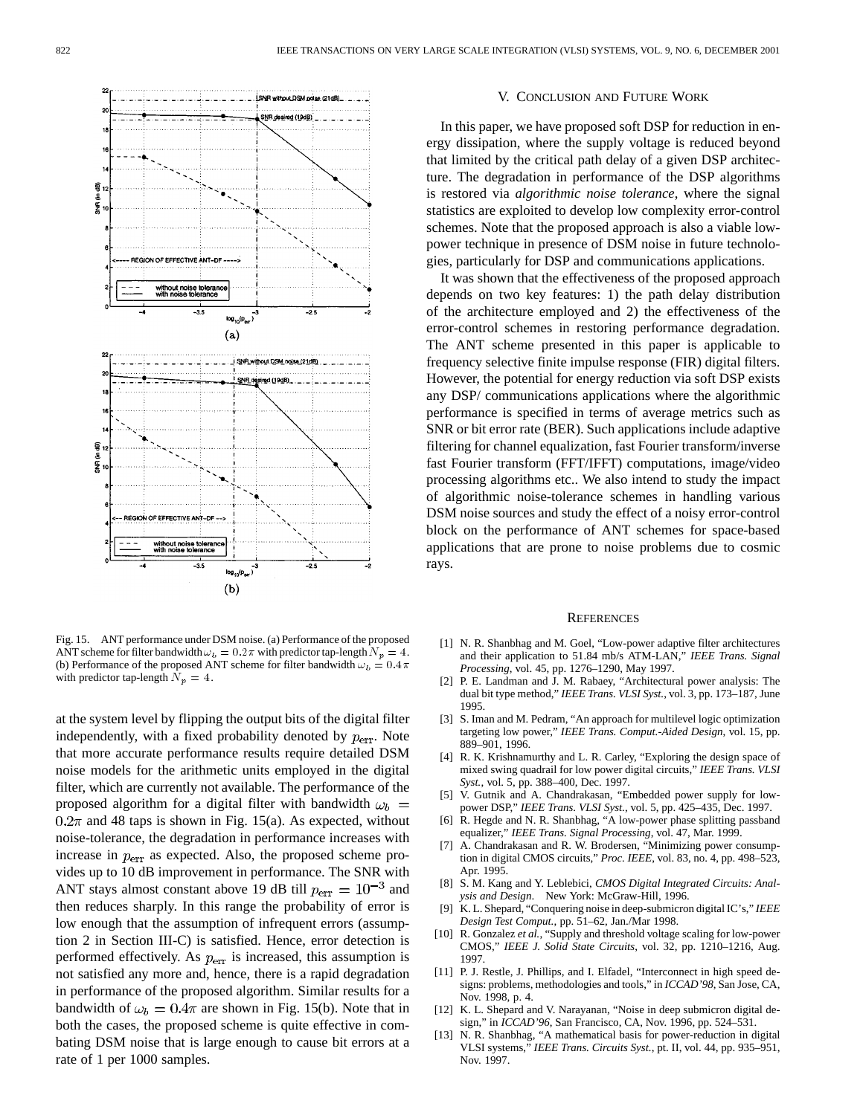

Fig. 15. ANT performance under DSM noise. (a) Performance of the proposed ANT scheme for filter bandwidth  $\omega_b = 0.2 \pi$  with predictor tap-length  $N_p = 4$ . (b) Performance of the proposed ANT scheme for filter bandwidth  $\omega_b = 0.4 \pi$ with predictor tap-length  $N_p = 4$ .

at the system level by flipping the output bits of the digital filter independently, with a fixed probability denoted by  $p_{\text{err}}$ . Note that more accurate performance results require detailed DSM noise models for the arithmetic units employed in the digital filter, which are currently not available. The performance of the proposed algorithm for a digital filter with bandwidth  $\omega_b$  =  $0.2\pi$  and 48 taps is shown in Fig. 15(a). As expected, without noise-tolerance, the degradation in performance increases with increase in  $p_{\text{err}}$  as expected. Also, the proposed scheme provides up to 10 dB improvement in performance. The SNR with ANT stays almost constant above 19 dB till  $p_{\text{err}} = 10^{-3}$  and then reduces sharply. In this range the probability of error is low enough that the assumption of infrequent errors (assumption 2 in Section III-C) is satisfied. Hence, error detection is performed effectively. As  $p_{err}$  is increased, this assumption is not satisfied any more and, hence, there is a rapid degradation in performance of the proposed algorithm. Similar results for a bandwidth of  $\omega_b = 0.4\pi$  are shown in Fig. 15(b). Note that in both the cases, the proposed scheme is quite effective in combating DSM noise that is large enough to cause bit errors at a rate of 1 per 1000 samples.

#### V. CONCLUSION AND FUTURE WORK

In this paper, we have proposed soft DSP for reduction in energy dissipation, where the supply voltage is reduced beyond that limited by the critical path delay of a given DSP architecture. The degradation in performance of the DSP algorithms is restored via *algorithmic noise tolerance*, where the signal statistics are exploited to develop low complexity error-control schemes. Note that the proposed approach is also a viable lowpower technique in presence of DSM noise in future technologies, particularly for DSP and communications applications.

It was shown that the effectiveness of the proposed approach depends on two key features: 1) the path delay distribution of the architecture employed and 2) the effectiveness of the error-control schemes in restoring performance degradation. The ANT scheme presented in this paper is applicable to frequency selective finite impulse response (FIR) digital filters. However, the potential for energy reduction via soft DSP exists any DSP/ communications applications where the algorithmic performance is specified in terms of average metrics such as SNR or bit error rate (BER). Such applications include adaptive filtering for channel equalization, fast Fourier transform/inverse fast Fourier transform (FFT/IFFT) computations, image/video processing algorithms etc.. We also intend to study the impact of algorithmic noise-tolerance schemes in handling various DSM noise sources and study the effect of a noisy error-control block on the performance of ANT schemes for space-based applications that are prone to noise problems due to cosmic rays.

#### **REFERENCES**

- [1] N. R. Shanbhag and M. Goel, "Low-power adaptive filter architectures and their application to 51.84 mb/s ATM-LAN," *IEEE Trans. Signal Processing*, vol. 45, pp. 1276–1290, May 1997.
- [2] P. E. Landman and J. M. Rabaey, "Architectural power analysis: The dual bit type method," *IEEE Trans. VLSI Syst.*, vol. 3, pp. 173–187, June 1995.
- [3] S. Iman and M. Pedram, "An approach for multilevel logic optimization targeting low power," *IEEE Trans. Comput.-Aided Design*, vol. 15, pp. 889–901, 1996.
- [4] R. K. Krishnamurthy and L. R. Carley, "Exploring the design space of mixed swing quadrail for low power digital circuits," *IEEE Trans. VLSI Syst.*, vol. 5, pp. 388–400, Dec. 1997.
- [5] V. Gutnik and A. Chandrakasan, "Embedded power supply for lowpower DSP," *IEEE Trans. VLSI Syst.*, vol. 5, pp. 425–435, Dec. 1997.
- [6] R. Hegde and N. R. Shanbhag, "A low-power phase splitting passband equalizer," *IEEE Trans. Signal Processing*, vol. 47, Mar. 1999.
- [7] A. Chandrakasan and R. W. Brodersen, "Minimizing power consumption in digital CMOS circuits," *Proc. IEEE*, vol. 83, no. 4, pp. 498–523, Apr. 1995.
- [8] S. M. Kang and Y. Leblebici, *CMOS Digital Integrated Circuits: Analysis and Design*. New York: McGraw-Hill, 1996.
- [9] K. L. Shepard, "Conquering noise in deep-submicron digital IC's," *IEEE Design Test Comput.*, pp. 51–62, Jan./Mar 1998.
- [10] R. Gonzalez *et al.*, "Supply and threshold voltage scaling for low-power CMOS," *IEEE J. Solid State Circuits*, vol. 32, pp. 1210–1216, Aug. 1997.
- [11] P. J. Restle, J. Phillips, and I. Elfadel, "Interconnect in high speed designs: problems, methodologies and tools," in *ICCAD'98*, San Jose, CA, Nov. 1998, p. 4.
- [12] K. L. Shepard and V. Narayanan, "Noise in deep submicron digital design," in *ICCAD'96*, San Francisco, CA, Nov. 1996, pp. 524–531.
- N. R. Shanbhag, "A mathematical basis for power-reduction in digital VLSI systems," *IEEE Trans. Circuits Syst.*, pt. II, vol. 44, pp. 935–951, Nov. 1997.